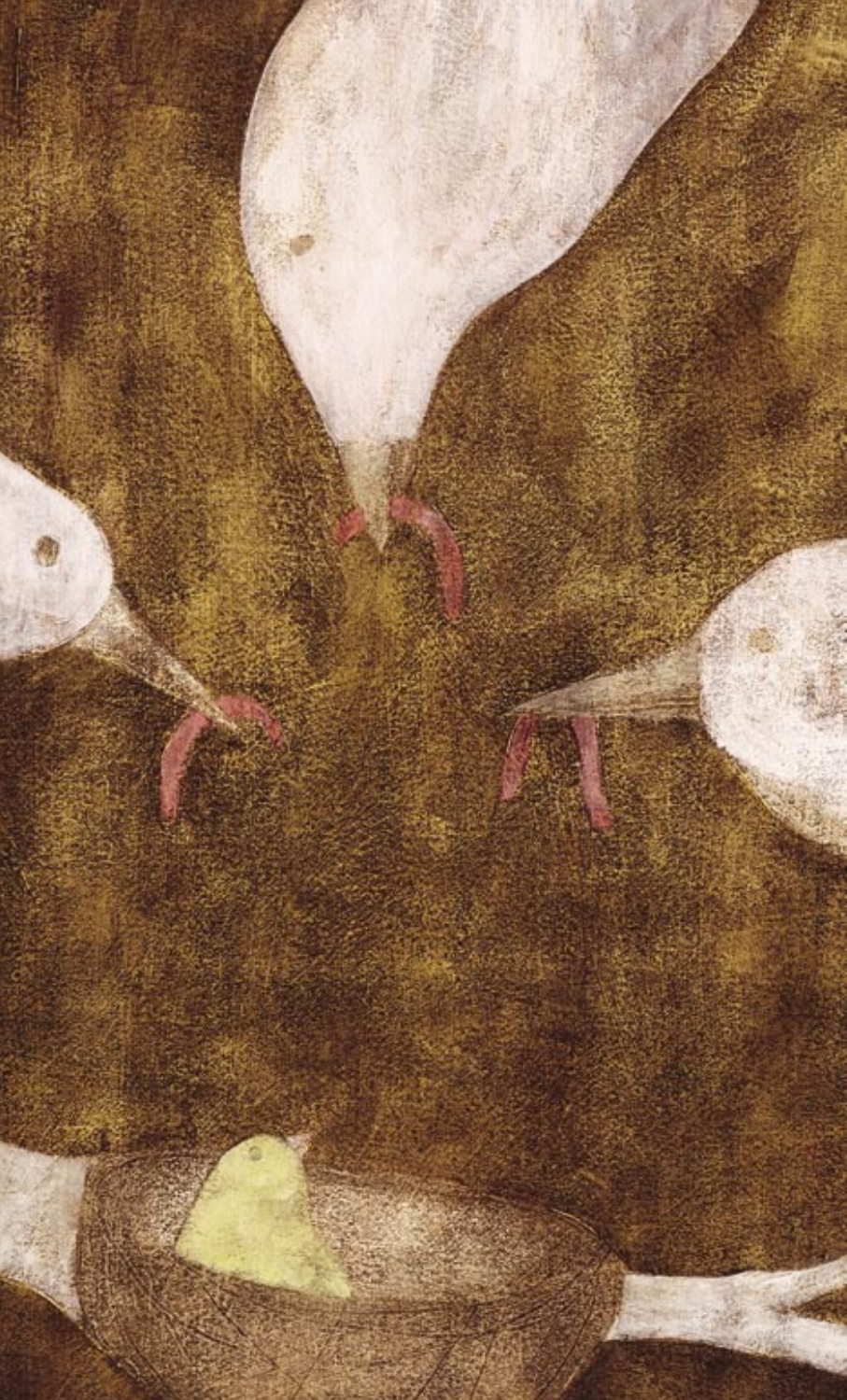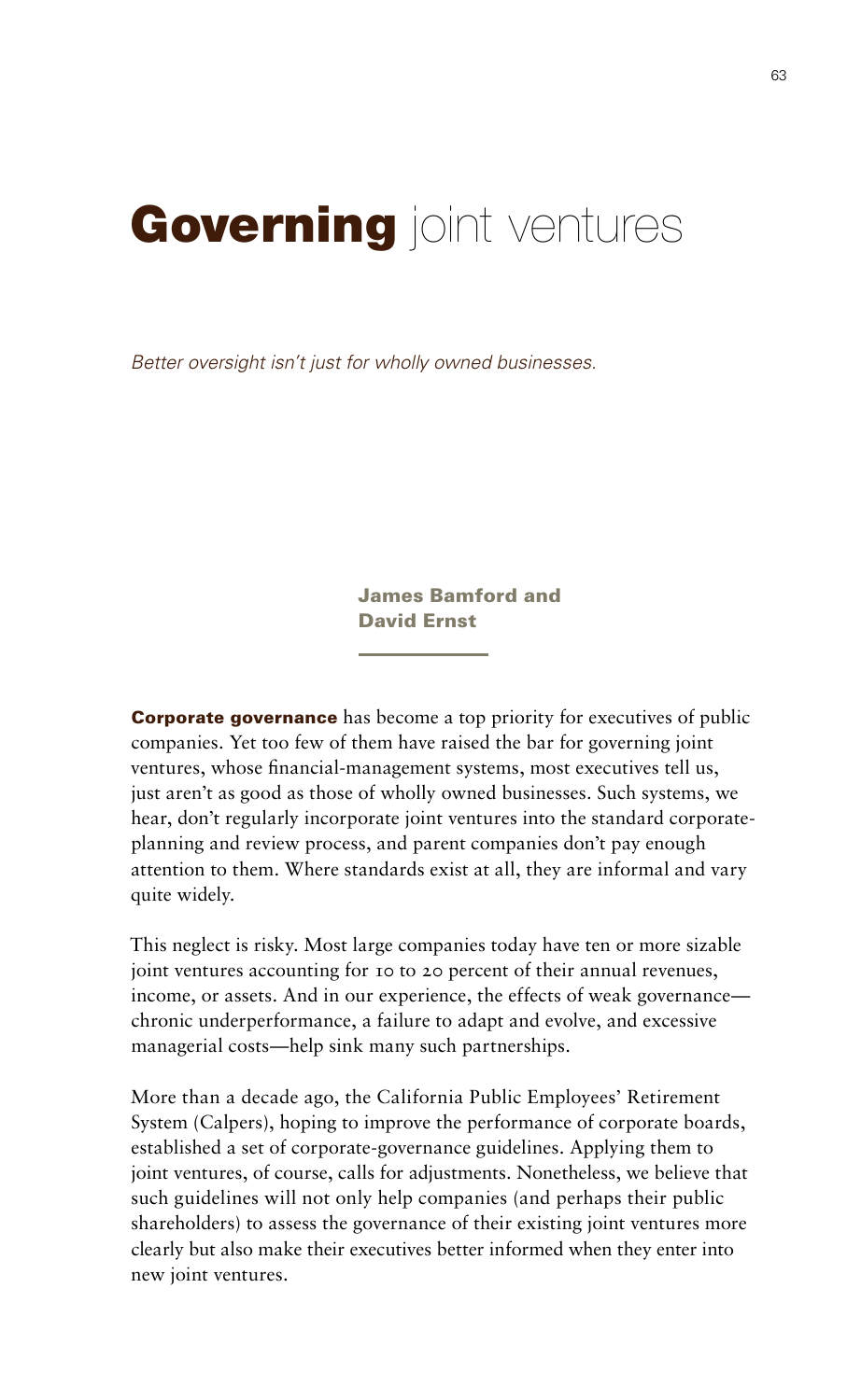# Governing joint ventures

Better oversight isn't just for wholly owned businesses.

James Bamford and David Ernst

**Corporate governance** has become a top priority for executives of public companies. Yet too few of them have raised the bar for governing joint ventures, whose financial-management systems, most executives tell us, just aren't as good as those of wholly owned businesses. Such systems, we hear, don't regularly incorporate joint ventures into the standard corporateplanning and review process, and parent companies don't pay enough attention to them. Where standards exist at all, they are informal and vary quite widely.

This neglect is risky. Most large companies today have ten or more sizable joint ventures accounting for 10 to 20 percent of their annual revenues, income, or assets. And in our experience, the effects of weak governance chronic underperformance, a failure to adapt and evolve, and excessive managerial costs—help sink many such partnerships.

More than a decade ago, the California Public Employees' Retirement System (Calpers), hoping to improve the performance of corporate boards, established a set of corporate-governance guidelines. Applying them to joint ventures, of course, calls for adjustments. Nonetheless, we believe that such guidelines will not only help companies (and perhaps their public shareholders) to assess the governance of their existing joint ventures more clearly but also make their executives better informed when they enter into new joint ventures.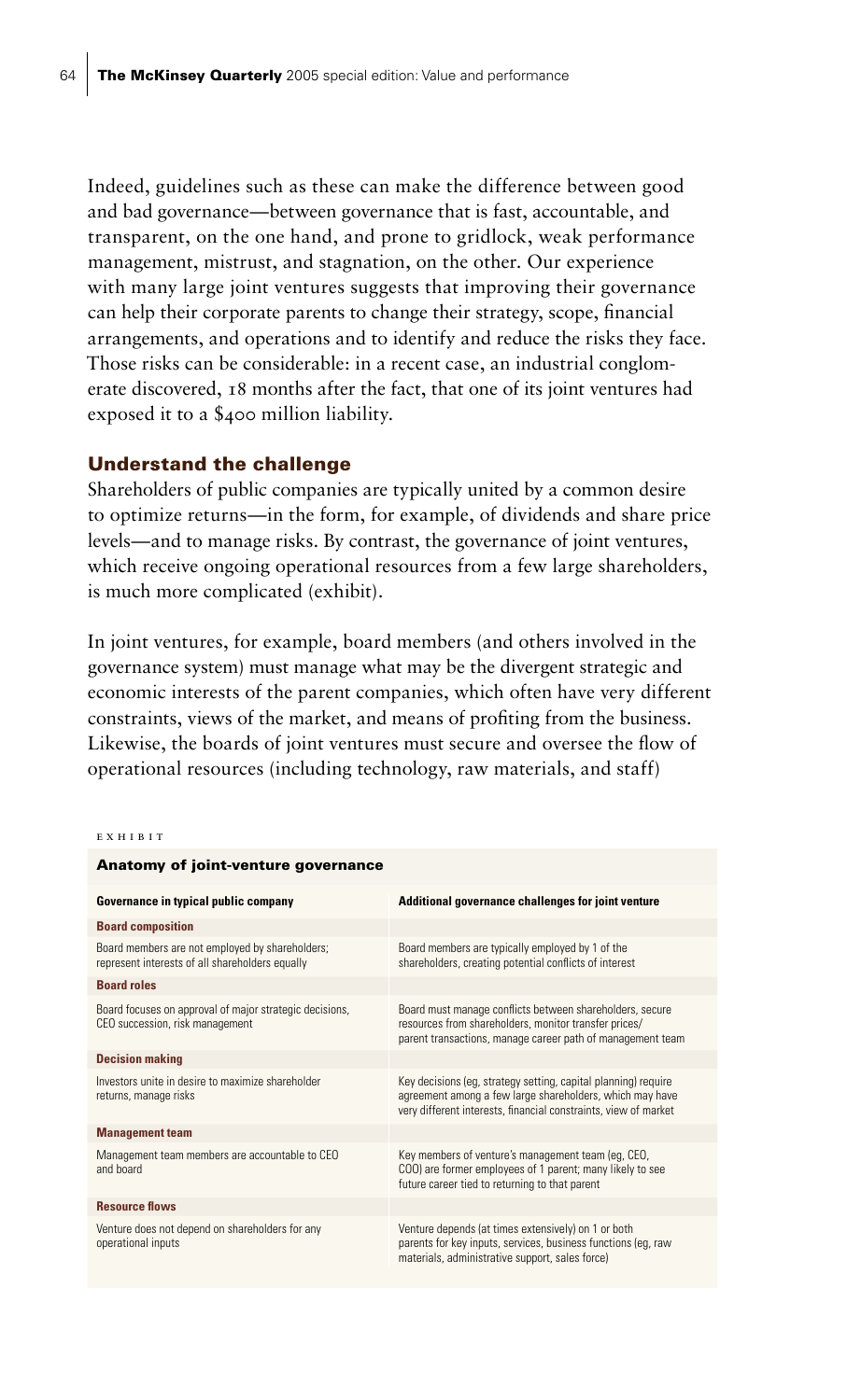Indeed, guidelines such as these can make the difference between good and bad governance—between governance that is fast, accountable, and transparent, on the one hand, and prone to gridlock, weak performance management, mistrust, and stagnation, on the other. Our experience with many large joint ventures suggests that improving their governance can help their corporate parents to change their strategy, scope, financial arrangements, and operations and to identify and reduce the risks they face. Those risks can be considerable: in a recent case, an industrial conglomerate discovered, 18 months after the fact, that one of its joint ventures had exposed it to a \$400 million liability.

# **Understand the challenge**

Shareholders of public companies are typically united by a common desire to optimize returns—in the form, for example, of dividends and share price levels—and to manage risks. By contrast, the governance of joint ventures, which receive ongoing operational resources from a few large shareholders, is much more complicated (exhibit).

In joint ventures, for example, board members (and others involved in the governance system) must manage what may be the divergent strategic and economic interests of the parent companies, which often have very different constraints, views of the market, and means of profiting from the business. Likewise, the boards of joint ventures must secure and oversee the flow of operational resources (including technology, raw materials, and staff)

#### EXHIBIT

| Anatomy of joint-venture governance                                                                |                                                                                                                                                                                               |
|----------------------------------------------------------------------------------------------------|-----------------------------------------------------------------------------------------------------------------------------------------------------------------------------------------------|
| Governance in typical public company                                                               | Additional governance challenges for joint venture                                                                                                                                            |
| <b>Board composition</b>                                                                           |                                                                                                                                                                                               |
| Board members are not employed by shareholders;<br>represent interests of all shareholders equally | Board members are typically employed by 1 of the<br>shareholders, creating potential conflicts of interest                                                                                    |
| <b>Board roles</b>                                                                                 |                                                                                                                                                                                               |
| Board focuses on approval of major strategic decisions,<br>CEO succession, risk management         | Board must manage conflicts between shareholders, secure<br>resources from shareholders, monitor transfer prices/<br>parent transactions, manage career path of management team               |
| <b>Decision making</b>                                                                             |                                                                                                                                                                                               |
| Investors unite in desire to maximize shareholder<br>returns, manage risks                         | Key decisions (eg, strategy setting, capital planning) require<br>agreement among a few large shareholders, which may have<br>very different interests, financial constraints, view of market |
| <b>Management team</b>                                                                             |                                                                                                                                                                                               |
| Management team members are accountable to CEO<br>and board                                        | Key members of venture's management team (eg, CEO,<br>COO) are former employees of 1 parent; many likely to see<br>future career tied to returning to that parent                             |
| <b>Resource flows</b>                                                                              |                                                                                                                                                                                               |
| Venture does not depend on shareholders for any<br>operational inputs                              | Venture depends (at times extensively) on 1 or both<br>parents for key inputs, services, business functions (eg, raw<br>materials, administrative support, sales force)                       |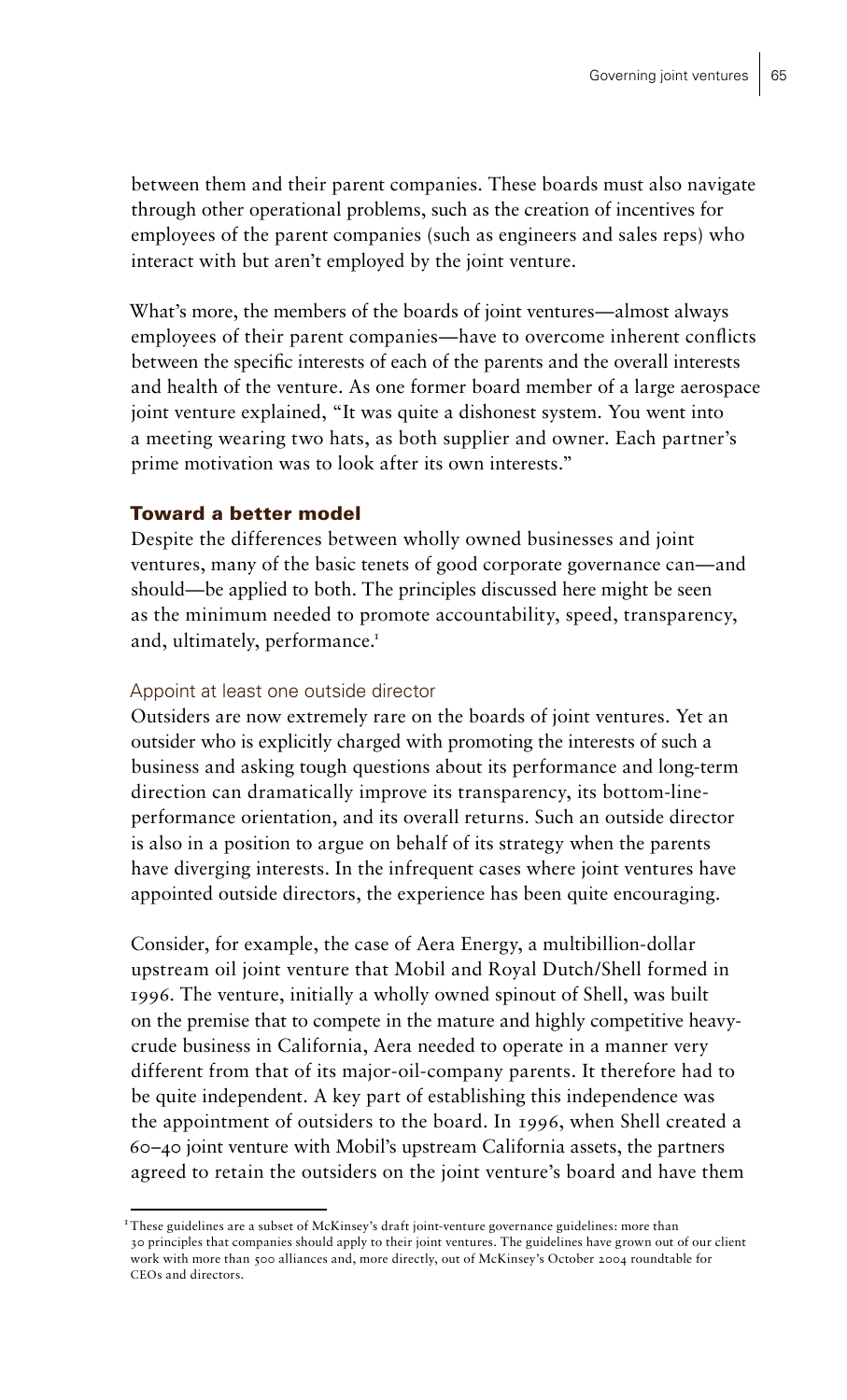between them and their parent companies. These boards must also navigate through other operational problems, such as the creation of incentives for employees of the parent companies (such as engineers and sales reps) who interact with but aren't employed by the joint venture.

What's more, the members of the boards of joint ventures—almost always employees of their parent companies—have to overcome inherent conflicts between the specific interests of each of the parents and the overall interests and health of the venture. As one former board member of a large aerospace joint venture explained, "It was quite a dishonest system. You went into a meeting wearing two hats, as both supplier and owner. Each partner's prime motivation was to look after its own interests."

# Toward a better model

Despite the differences between wholly owned businesses and joint ventures, many of the basic tenets of good corporate governance can—and should—be applied to both. The principles discussed here might be seen as the minimum needed to promote accountability, speed, transparency, and, ultimately, performance.<sup>1</sup>

# Appoint at least one outside director

Outsiders are now extremely rare on the boards of joint ventures. Yet an outsider who is explicitly charged with promoting the interests of such a business and asking tough questions about its performance and long-term direction can dramatically improve its transparency, its bottom-lineperformance orientation, and its overall returns. Such an outside director is also in a position to argue on behalf of its strategy when the parents have diverging interests. In the infrequent cases where joint ventures have appointed outside directors, the experience has been quite encouraging.

Consider, for example, the case of Aera Energy, a multibillion-dollar upstream oil joint venture that Mobil and Royal Dutch/Shell formed in 1996. The venture, initially a wholly owned spinout of Shell, was built on the premise that to compete in the mature and highly competitive heavycrude business in California, Aera needed to operate in a manner very different from that of its major-oil-company parents. It therefore had to be quite independent. A key part of establishing this independence was the appointment of outsiders to the board. In 1996, when Shell created a 60–40 joint venture with Mobil's upstream California assets, the partners agreed to retain the outsiders on the joint venture's board and have them

<sup>&</sup>lt;sup>1</sup> These guidelines are a subset of McKinsey's draft joint-venture governance guidelines: more than 30 principles that companies should apply to their joint ventures. The guidelines have grown out of our client work with more than 500 alliances and, more directly, out of McKinsey's October 2004 roundtable for CEOs and directors.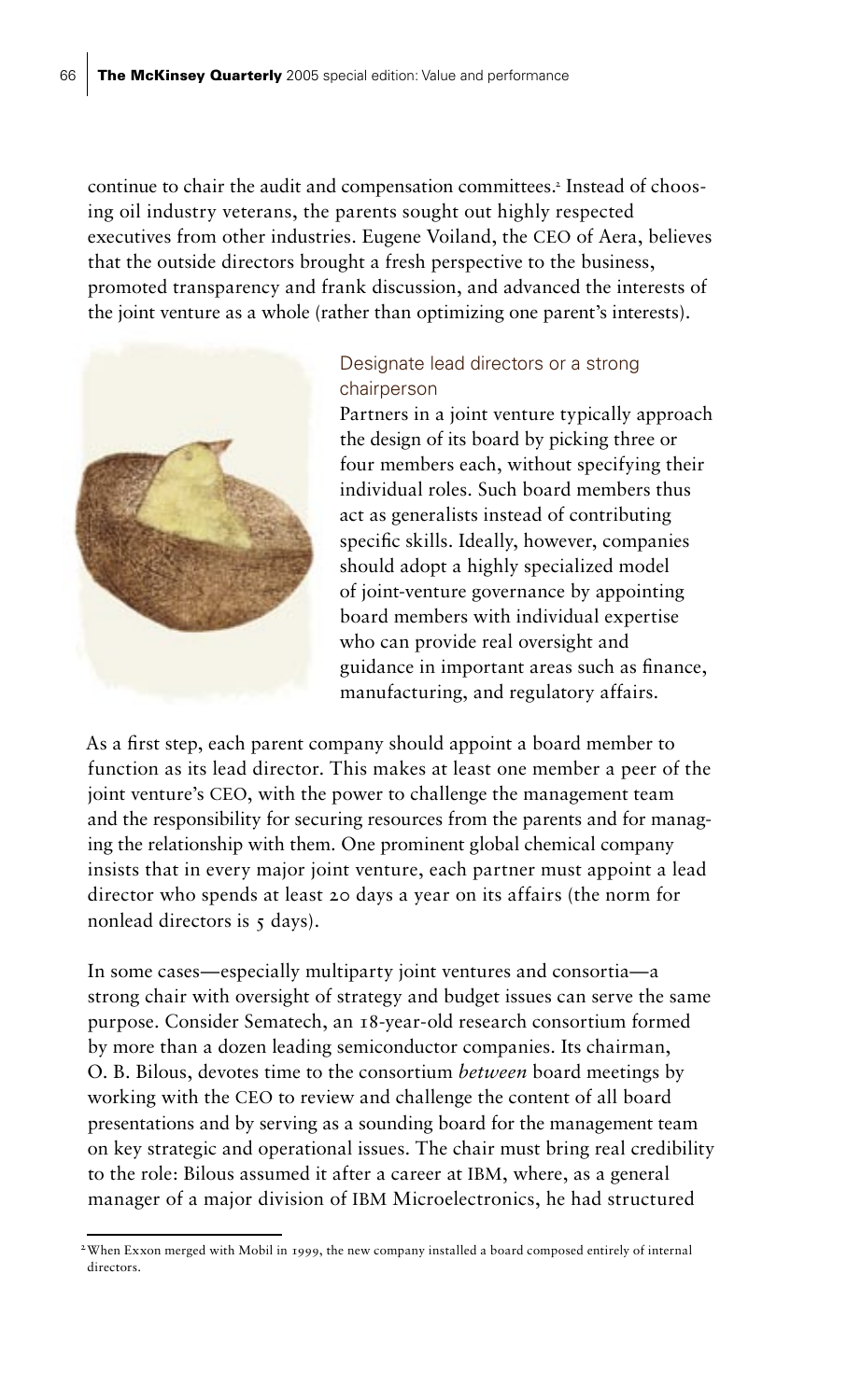continue to chair the audit and compensation committees.<sup>2</sup> Instead of choosing oil industry veterans, the parents sought out highly respected executives from other industries. Eugene Voiland, the CEO of Aera, believes that the outside directors brought a fresh perspective to the business, promoted transparency and frank discussion, and advanced the interests of the joint venture as a whole (rather than optimizing one parent's interests).



# Designate lead directors or a strong chairperson

Partners in a joint venture typically approach the design of its board by picking three or four members each, without specifying their individual roles. Such board members thus act as generalists instead of contributing specific skills. Ideally, however, companies should adopt a highly specialized model of joint-venture governance by appointing board members with individual expertise who can provide real oversight and guidance in important areas such as finance, manufacturing, and regulatory affairs.

As a first step, each parent company should appoint a board member to function as its lead director. This makes at least one member a peer of the joint venture's CEO, with the power to challenge the management team and the responsibility for securing resources from the parents and for managing the relationship with them. One prominent global chemical company insists that in every major joint venture, each partner must appoint a lead director who spends at least 20 days a year on its affairs (the norm for nonlead directors is  $\zeta$  days).

In some cases—especially multiparty joint ventures and consortia—a strong chair with oversight of strategy and budget issues can serve the same purpose. Consider Sematech, an 18-year-old research consortium formed by more than a dozen leading semiconductor companies. Its chairman, O. B. Bilous, devotes time to the consortium *between* board meetings by working with the CEO to review and challenge the content of all board presentations and by serving as a sounding board for the management team on key strategic and operational issues. The chair must bring real credibility to the role: Bilous assumed it after a career at IBM, where, as a general manager of a major division of IBM Microelectronics, he had structured

<sup>&</sup>lt;sup>2</sup> When Exxon merged with Mobil in 1999, the new company installed a board composed entirely of internal directors.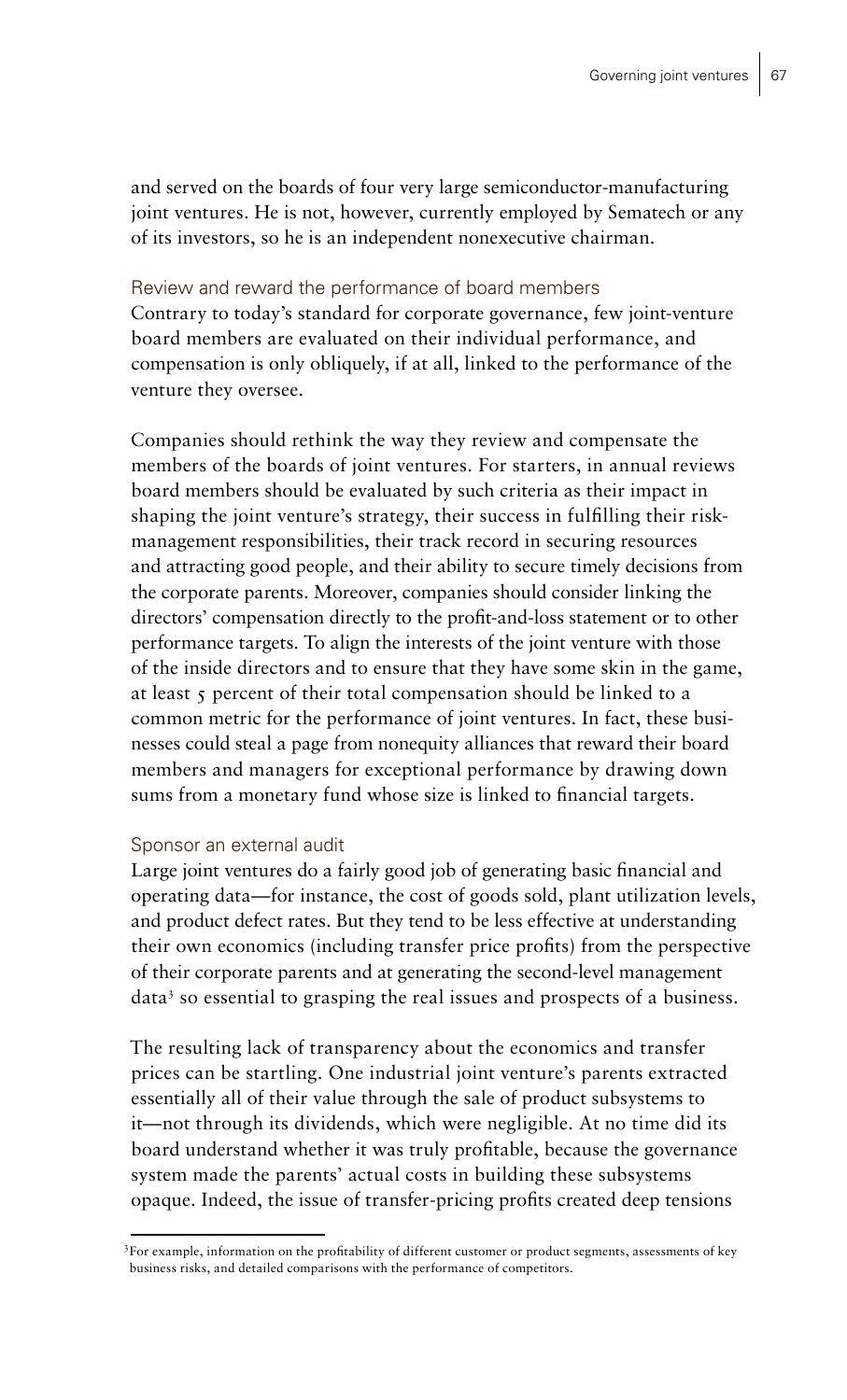and served on the boards of four very large semiconductor-manufacturing joint ventures. He is not, however, currently employed by Sematech or any of its investors, so he is an independent nonexecutive chairman.

# Review and reward the performance of board members

Contrary to today's standard for corporate governance, few joint-venture board members are evaluated on their individual performance, and compensation is only obliquely, if at all, linked to the performance of the venture they oversee.

Companies should rethink the way they review and compensate the members of the boards of joint ventures. For starters, in annual reviews board members should be evaluated by such criteria as their impact in shaping the joint venture's strategy, their success in fulfilling their riskmanagement responsibilities, their track record in securing resources and attracting good people, and their ability to secure timely decisions from the corporate parents. Moreover, companies should consider linking the directors' compensation directly to the profit-and-loss statement or to other performance targets. To align the interests of the joint venture with those of the inside directors and to ensure that they have some skin in the game, at least 5 percent of their total compensation should be linked to a common metric for the performance of joint ventures. In fact, these businesses could steal a page from nonequity alliances that reward their board members and managers for exceptional performance by drawing down sums from a monetary fund whose size is linked to financial targets.

# Sponsor an external audit

Large joint ventures do a fairly good job of generating basic financial and operating data—for instance, the cost of goods sold, plant utilization levels, and product defect rates. But they tend to be less effective at understanding their own economics (including transfer price profits) from the perspective of their corporate parents and at generating the second-level management data<sup>3</sup> so essential to grasping the real issues and prospects of a business.

The resulting lack of transparency about the economics and transfer prices can be startling. One industrial joint venture's parents extracted essentially all of their value through the sale of product subsystems to it—not through its dividends, which were negligible. At no time did its board understand whether it was truly profitable, because the governance system made the parents' actual costs in building these subsystems opaque. Indeed, the issue of transfer-pricing profits created deep tensions

<sup>&</sup>lt;sup>3</sup> For example, information on the profitability of different customer or product segments, assessments of key business risks, and detailed comparisons with the performance of competitors.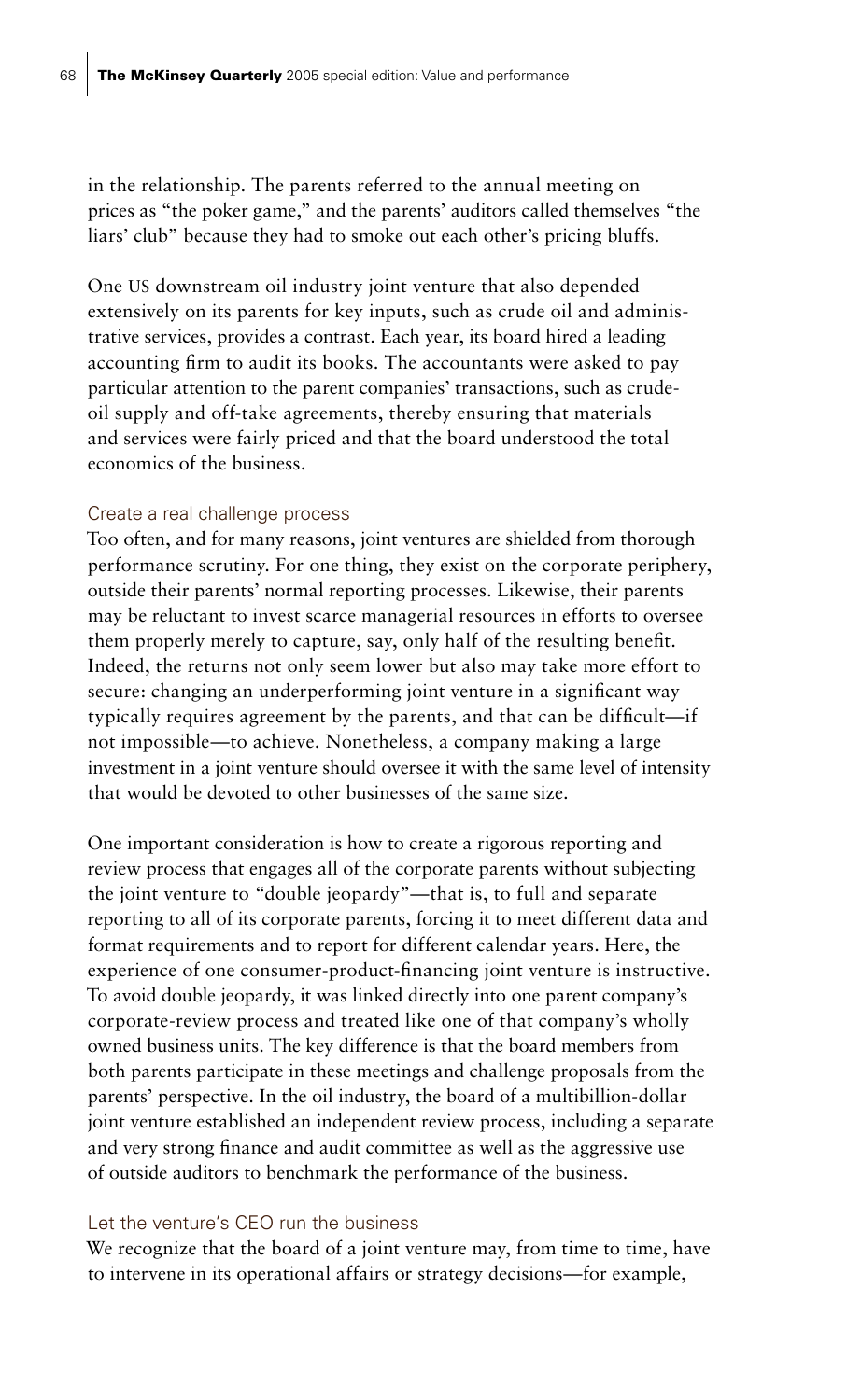in the relationship. The parents referred to the annual meeting on prices as "the poker game," and the parents' auditors called themselves "the liars' club" because they had to smoke out each other's pricing bluffs.

One US downstream oil industry joint venture that also depended extensively on its parents for key inputs, such as crude oil and administrative services, provides a contrast. Each year, its board hired a leading accounting firm to audit its books. The accountants were asked to pay particular attention to the parent companies' transactions, such as crudeoil supply and off-take agreements, thereby ensuring that materials and services were fairly priced and that the board understood the total economics of the business.

# Create a real challenge process

Too often, and for many reasons, joint ventures are shielded from thorough performance scrutiny. For one thing, they exist on the corporate periphery, outside their parents' normal reporting processes. Likewise, their parents may be reluctant to invest scarce managerial resources in efforts to oversee them properly merely to capture, say, only half of the resulting benefit. Indeed, the returns not only seem lower but also may take more effort to secure: changing an underperforming joint venture in a significant way typically requires agreement by the parents, and that can be difficult—if not impossible—to achieve. Nonetheless, a company making a large investment in a joint venture should oversee it with the same level of intensity that would be devoted to other businesses of the same size.

One important consideration is how to create a rigorous reporting and review process that engages all of the corporate parents without subjecting the joint venture to "double jeopardy"—that is, to full and separate reporting to all of its corporate parents, forcing it to meet different data and format requirements and to report for different calendar years. Here, the experience of one consumer-product-financing joint venture is instructive. To avoid double jeopardy, it was linked directly into one parent company's corporate-review process and treated like one of that company's wholly owned business units. The key difference is that the board members from both parents participate in these meetings and challenge proposals from the parents' perspective. In the oil industry, the board of a multibillion-dollar joint venture established an independent review process, including a separate and very strong finance and audit committee as well as the aggressive use of outside auditors to benchmark the performance of the business.

#### Let the venture's CEO run the business

We recognize that the board of a joint venture may, from time to time, have to intervene in its operational affairs or strategy decisions—for example,